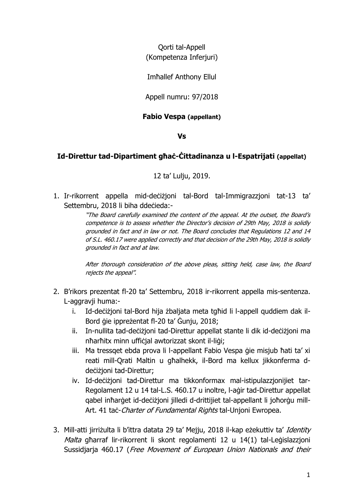Qorti tal-Appell (Kompetenza Inferjuri)

Imħallef Anthony Ellul

Appell numru: 97/2018

### **Fabio Vespa (appellant)**

**Vs**

## **Id-Direttur tad-Dipartiment għaċ-Ċittadinanza u l-Espatrijati (appellat)**

#### 12 ta' Lulju, 2019.

1. Ir-rikorrent appella mid-deċiżjoni tal-Bord tal-Immigrazzjoni tat-13 ta' Settembru, 2018 li biha ddeċieda:-

> "The Board carefully examined the content of the appeal. At the outset, the Board's competence is to assess whether the Director's decision of 29th May, 2018 is solidly grounded in fact and in law or not. The Board concludes that Regulations 12 and 14 of S.L. 460.17 were applied correctly and that decision of the 29th May, 2018 is solidly grounded in fact and at law.

> After thorough consideration of the above pleas, sitting held, case law, the Board rejects the appeal".

- 2. B'rikors prezentat fl-20 ta' Settembru, 2018 ir-rikorrent appella mis-sentenza. L-aggravji huma:
	- i. Id-deċiżjoni tal-Bord hija żbaljata meta tgħid li l-appell quddiem dak il-Bord ġie ippreżentat fl-20 ta' Ġunju, 2018;
	- ii. In-nullita tad-deċiżjoni tad-Direttur appellat stante li dik id-deċiżjoni ma nħarħitx minn uffiċjal awtorizzat skont il-liġi;
	- iii. Ma tressqet ebda prova li l-appellant Fabio Vespa ġie misjub ħati ta' xi reati mill-Qrati Maltin u għalhekk, il-Bord ma kellux jikkonferma ddeċiżjoni tad-Direttur;
	- iv. Id-deċiżjoni tad-Direttur ma tikkonformax mal-istipulazzjonijiet tar-Regolament 12 u 14 tal-L.S. 460.17 u inoltre, l-aġir tad-Direttur appellat qabel inħarġet id-deċiżjoni jilledi d-drittijiet tal-appellant li joħorġu mill-Art. 41 tac-Charter of Fundamental Rights tal-Unjoni Ewropea.
- 3. Mill-atti jirriżulta li b'ittra datata 29 ta' Mejju, 2018 il-kap eżekuttiv ta' Identity Malta għarraf lir-rikorrent li skont regolamenti 12 u 14(1) tal-Leġislazzjoni Sussidjarja 460.17 (Free Movement of European Union Nationals and their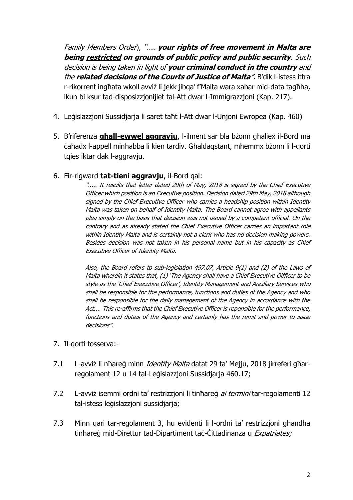Family Members Order), ".... **your rights of free movement in Malta are being restricted on grounds of public policy and public security**. Such decision is being taken in light of **your criminal conduct in the country** and the **related decisions of the Courts of Justice of Malta**". B'dik l-istess ittra r-rikorrent ingħata wkoll avviż li jekk jibqa' f'Malta wara xahar mid-data tagħha, ikun bi ksur tad-disposizzjonijiet tal-Att dwar l-Immigrazzjoni (Kap. 217).

- 4. Leġislazzjoni Sussidjarja li saret taħt l-Att dwar l-Unjoni Ewropea (Kap. 460)
- 5. B'riferenza **għall-ewwel aggravju**, l-ilment sar bla bżonn għaliex il-Bord ma ċaħadx l-appell minħabba li kien tardiv. Għaldaqstant, mhemmx bżonn li l-qorti tqies iktar dak l-aggravju.
- 6. Fir-rigward **tat-tieni aggravju**, il-Bord qal:

"..... It results that letter dated 29th of May, 2018 is signed by the Chief Executive Officer which position is an Executive position. Decision dated 29th May, 2018 although signed by the Chief Executive Officer who carries a headship position within Identity Malta was taken on behalf of Identity Malta. The Board cannot agree with appellants plea simply on the basis that decision was not issued by a competent official. On the contrary and as already stated the Chief Executive Officer carries an important role within Identity Malta and is certainly not a clerk who has no decision making powers. Besides decision was not taken in his personal name but in his capacity as Chief Executive Officer of Identity Malta.

Also, the Board refers to sub-legislation 497.07, Article 9(1) and (2) of the Laws of Malta wherein it states that, (1) 'The Agency shall have a Chief Executive Oifficer to be style as the 'Chief Executive Officer', Identity Management and Ancillary Services who shall be responsible for the performance, functions and duties of the Agency and who shall be responsible for the daily management of the Agency in accordance with the Act.... This re-affirms that the Chief Executive Officer is reponsible for the performance, functions and duties of the Agency and certainly has the remit and power to issue decisions".

- 7. Il-qorti tosserva:-
- 7.1 L-avviż li nhareġ minn *Identity Malta* datat 29 ta' Mejju, 2018 jirreferi gharregolament 12 u 14 tal-Leġislazzjoni Sussidjarja 460.17;
- 7.2 L-avviż isemmi ordni ta' restrizzjoni li tinħareġ ai termini tar-regolamenti 12 tal-istess leġislazzjoni sussidjarja;
- 7.3 Minn qari tar-regolament 3, hu evidenti li l-ordni ta' restrizzjoni għandha tinħareġ mid-Direttur tad-Dipartiment taċ-Cittadinanza u Expatriates;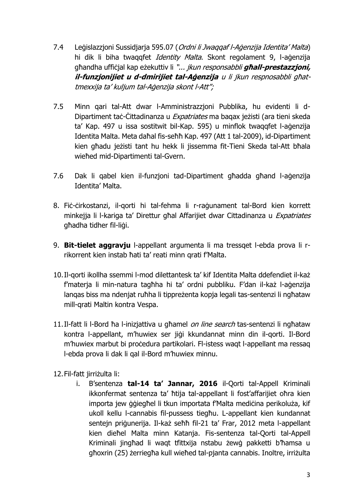- 7.4 Leġislazzjoni Sussidjarja 595.07 (Ordni li Jwaggaf l-Aġenzija Identita' Malta) hi dik li biha twaqqfet Identity Malta. Skont regolament 9, l-aġenzija għandha uffiċjal kap eżekuttiv li "... jkun responsabbli **għall-prestazzjoni, il-funzjonijiet u d-dmirijiet tal-Aġenzija** u li jkun respnosabbli għattmexxija ta' kuljum tal-Aġenzija skont l-Att";
- 7.5 Minn qari tal-Att dwar l-Amministrazzjoni Pubblika, hu evidenti li d-Dipartiment taċ-Cittadinanza u *Expatriates* ma bagax jeżisti (ara tieni skeda ta' Kap. 497 u issa sostitwit bil-Kap. 595) u minflok twaqqfet l-aġenzija Identita Malta. Meta daħal fis-seħħ Kap. 497 (Att 1 tal-2009), id-Dipartiment kien għadu jeżisti tant hu hekk li jissemma fit-Tieni Skeda tal-Att bħala wieħed mid-Dipartimenti tal-Gvern.
- 7.6 Dak li qabel kien il-funzjoni tad-Dipartiment għadda għand l-aġenzija Identita' Malta.
- 8. Fiċ-ċirkostanzi, il-qorti hi tal-fehma li r-raġunament tal-Bord kien korrett minkejja li l-kariga ta' Direttur għal Affarijiet dwar Cittadinanza u Expatriates għadha tidher fil-liġi.
- 9. **Bit-tielet aggravju** l-appellant argumenta li ma tressqet l-ebda prova li rrikorrent kien instab ħati ta' reati minn qrati f'Malta.
- 10.Il-qorti ikollha ssemmi l-mod dilettantesk ta' kif Identita Malta ddefendiet il-każ f'materja li min-natura tagħha hi ta' ordni pubbliku. F'dan il-każ l-aġenzija lanqas biss ma ndenjat ruħha li tippreżenta kopja legali tas-sentenzi li ngħataw mill-qrati Maltin kontra Vespa.
- 11. Il-fatt li l-Bord ħa l-inizjattiva u għamel on line search tas-sentenzi li ngħataw kontra l-appellant, m'huwiex ser jiġi kkundannat minn din il-qorti. Il-Bord m'huwiex marbut bi proċedura partikolari. Fl-istess waqt l-appellant ma ressaq l-ebda prova li dak li qal il-Bord m'huwiex minnu.
- 12.Fil-fatt jirriżulta li:
	- i. B'sentenza **tal-14 ta' Jannar, 2016** il-Qorti tal-Appell Kriminali ikkonfermat sentenza ta' ħtija tal-appellant li fost'affarijiet oħra kien importa jew ggieghel li tkun importata f'Malta medicina perikoluża, kif ukoll kellu l-cannabis fil-pussess tiegħu. L-appellant kien kundannat sentejn priġunerija. Il-każ seħħ fil-21 ta' Frar, 2012 meta l-appellant kien dieħel Malta minn Katanja. Fis-sentenza tal-Qorti tal-Appell Kriminali jingħad li waqt tfittxija nstabu żewġ pakketti b'ħamsa u għoxrin (25) żerriegħa kull wieħed tal-pjanta cannabis. Inoltre, irriżulta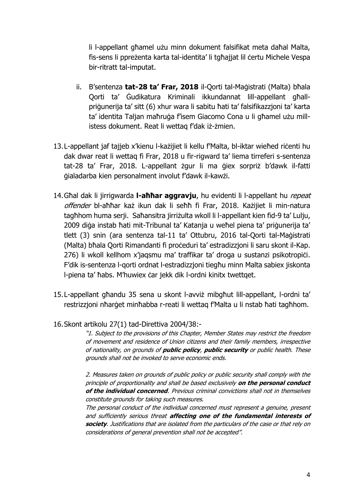li l-appellant għamel użu minn dokument falsifikat meta daħal Malta, fis-sens li ppreżenta karta tal-identita' li tgħajjat lil ċertu Michele Vespa bir-ritratt tal-imputat.

- ii. B'sentenza **tat-28 ta' Frar, 2018** il-Qorti tal-Maġistrati (Malta) bħala Qorti ta' Ġudikatura Kriminali ikkundannat lill-appellant għallpriġunerija ta' sitt (6) xhur wara li sabitu ħati ta' falsifikazzjoni ta' karta ta' identita Taljan maħruġa f'isem Giacomo Cona u li għamel użu millistess dokument. Reat li wettaq f'dak iż-żmien.
- 13.L-appellant jaf tajjeb x'kienu l-każijiet li kellu f'Malta, bl-iktar wieħed riċenti hu dak dwar reat li wettaq fi Frar, 2018 u fir-rigward ta' liema tirreferi s-sentenza tat-28 ta' Frar, 2018. L-appellant żgur li ma ġiex sorpriż b'dawk il-fatti ġialadarba kien personalment involut f'dawk il-kawżi.
- 14.Għal dak li jirrigwarda **l-aħħar aggravju**, hu evidenti li l-appellant hu repeat offender bl-aħħar każ ikun dak li seħħ fi Frar, 2018. Każijiet li min-natura tagħhom huma serji. Saħansitra jirriżulta wkoll li l-appellant kien fid-9 ta' Lulju, 2009 diġa instab ħati mit-Tribunal ta' Katanja u weħel piena ta' priġunerija ta' tlett (3) snin (ara sentenza tal-11 ta' Ottubru, 2016 tal-Qorti tal-Maġistrati (Malta) bħala Qorti Rimandanti fi proċeduri ta' estradizzjoni li saru skont il-Kap. 276) li wkoll kellhom x'jaqsmu ma' traffikar ta' droga u sustanzi psikotropici. F'dik is-sentenza l-qorti ordnat l-estradizzjoni tiegħu minn Malta sabiex jiskonta l-piena ta' ħabs. M'huwiex ċar jekk dik l-ordni kinitx twettqet.
- 15.L-appellant għandu 35 sena u skont l-avviż mibgħut lill-appellant, l-ordni ta' restrizzjoni nħarġet minħabba r-reati li wettaq f'Malta u li nstab ħati tagħhom.
- 16.Skont artikolu 27(1) tad-Direttiva 2004/38:-

"1. Subject to the provisions of this Chapter, Member States may restrict the freedom of movement and residence of Union citizens and their family members, irrespective of nationality, on grounds of **public policy**, **public security** or public health. These grounds shall not be invoked to serve economic ends.

2. Measures taken on grounds of public policy or public security shall comply with the principle of proportionality and shall be based exclusively **on the personal conduct of the individual concerned**. Previous criminal convictions shall not in themselves constitute grounds for taking such measures.

The personal conduct of the individual concerned must represent a genuine, present and sufficiently serious threat **affecting one of the fundamental interests of society**. Justifications that are isolated from the particulars of the case or that rely on considerations of general prevention shall not be accepted".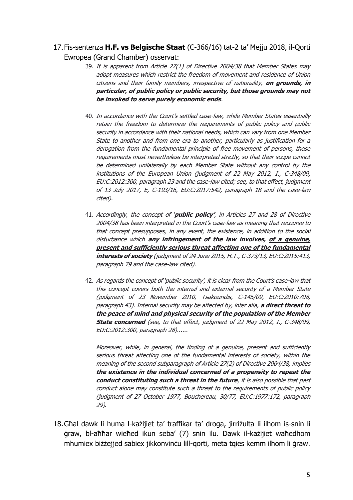- 17.Fis-sentenza **H.F. vs Belgische Staat** (C-366/16) tat-2 ta' Mejju 2018, il-Qorti Ewropea (Grand Chamber) osservat:
	- 39. It is apparent from Article 27(1) of Directive 2004/38 that Member States may adopt measures which restrict the freedom of movement and residence of Union citizens and their family members, irrespective of nationality, **on grounds, in particular, of public policy or public security, but those grounds may not be invoked to serve purely economic ends**.
	- 40. In accordance with the Court's settled case-law, while Member States essentially retain the freedom to determine the requirements of public policy and public security in accordance with their national needs, which can vary from one Member State to another and from one era to another, particularly as justification for a derogation from the fundamental principle of free movement of persons, those requirements must nevertheless be interpreted strictly, so that their scope cannot be determined unilaterally by each Member State without any control by the institutions of the European Union (judgment of 22 May 2012, I., C-348/09, EU:C:2012:300, paragraph 23 and the case-law cited; see, to that effect, judgment of 13 July 2017, E, C-193/16, EU:C:2017:542, paragraph 18 and the case-law cited).
	- 41. Accordingly, the concept of '**public policy'**, in Articles 27 and 28 of Directive 2004/38 has been interpreted in the Court's case-law as meaning that recourse to that concept presupposes, in any event, the existence, in addition to the social disturbance which **any infringement of the law involves, of a genuine, present and sufficiently serious threat affecting one of the fundamental interests of society** (judgment of 24 June 2015, H.T., C-373/13, EU:C:2015:413, paragraph 79 and the case-law cited).
	- 42. As regards the concept of 'public security', it is clear from the Court's case-law that this concept covers both the internal and external security of a Member State (judgment of 23 November 2010, Tsakouridis, C-145/09, EU:C:2010:708, paragraph 43). Internal security may be affected by, inter alia, **a direct threat to the peace of mind and physical security of the population of the Member State concerned** (see, to that effect, judgment of 22 May 2012, I., C-348/09, EU:C:2012:300, paragraph 28)......

Moreover, while, in general, the finding of a genuine, present and sufficiently serious threat affecting one of the fundamental interests of society, within the meaning of the second subparagraph of Article 27(2) of Directive 2004/38, implies **the existence in the individual concerned of a propensity to repeat the conduct constituting such a threat in the future**, it is also possible that past conduct alone may constitute such a threat to the requirements of public policy (judgment of 27 October 1977, Bouchereau, 30/77, EU:C:1977:172, paragraph 29).

18.Għal dawk li huma l-każijiet ta' traffikar ta' droga, jirriżulta li ilhom is-snin li ġraw, bl-aħħar wieħed ikun seba' (7) snin ilu. Dawk il-każijiet waħedhom mhumiex biżżejjed sabiex jikkonvinċu lill-qorti, meta tqies kemm ilhom li graw.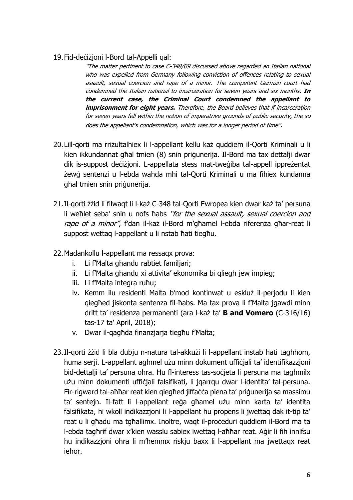#### 19.Fid-deċiżjoni l-Bord tal-Appelli qal:

"The matter pertinent to case C-348/09 discussed above regarded an Italian national who was expelled from Germany following conviction of offences relating to sexual assault, sexual coercion and rape of a minor. The competent German court had condemned the Italian national to incarceration for seven years and six months. **In the current case, the Criminal Court condemned the appellant to imprisonment for eight years.** Therefore, the Board believes that if incarceration for seven years fell within the notion of imperatrive grounds of public security, the so does the appellant's condemnation, which was for a longer period of time".

- 20.Lill-qorti ma rriżultalhiex li l-appellant kellu każ quddiem il-Qorti Kriminali u li kien ikkundannat għal tmien (8) snin priġunerija. Il-Bord ma tax dettalji dwar dik is-suppost deċiżjoni. L-appellata stess mat-tweġiba tal-appell ippreżentat żewġ sentenzi u l-ebda waħda mhi tal-Qorti Kriminali u ma fihiex kundanna għal tmien snin priġunerija.
- 21.Il-qorti żżid li filwaqt li l-każ C-348 tal-Qorti Ewropea kien dwar każ ta' persuna li wehlet seba' snin u nofs habs "for the sexual assault, sexual coercion and rape of a minor", f'dan il-każ il-Bord m'għamel l-ebda riferenza għar-reat li suppost wettaq l-appellant u li nstab ħati tiegħu.
- 22.Madankollu l-appellant ma ressaqx prova:
	- i. Li f'Malta għandu rabtiet familjari;
	- ii. Li f'Malta għandu xi attivita' ekonomika bi qliegħ jew impieg;
	- iii. Li f'Malta integra ruħu;
	- iv. Kemm ilu residenti Malta b'mod kontinwat u eskluż il-perjodu li kien qiegħed jiskonta sentenza fil-ħabs. Ma tax prova li f'Malta jgawdi minn dritt ta' residenza permanenti (ara l-każ ta' **B and Vomero** (C-316/16) tas-17 ta' April, 2018);
	- v. Dwar il-qagħda finanzjarja tiegħu f'Malta;
- 23.Il-qorti żżid li bla dubju n-natura tal-akkużi li l-appellant instab ħati tagħhom, huma serji. L-appellant agħmel użu minn dokument uffiċjali ta' identifikazzjoni bid-dettalji ta' persuna oħra. Hu fl-interess tas-soċjeta li persuna ma tagħmilx użu minn dokumenti ufficjali falsifikati, li jgarrqu dwar l-identita' tal-persuna. Fir-rigward tal-aħħar reat kien qiegħed jiffaċċa piena ta' priġunerija sa massimu ta' sentejn. Il-fatt li l-appellant reġa għamel użu minn karta ta' identita falsifikata, hi wkoll indikazzjoni li l-appellant hu propens li jwettaq dak it-tip ta' reat u li għadu ma tgħallimx. Inoltre, waqt il-proċeduri quddiem il-Bord ma ta l-ebda tagħrif dwar x'kien wasslu sabiex iwettaq l-aħħar reat. Aġir li fih innifsu hu indikazzjoni oħra li m'hemmx riskju baxx li l-appellant ma jwettaqx reat ieħor.